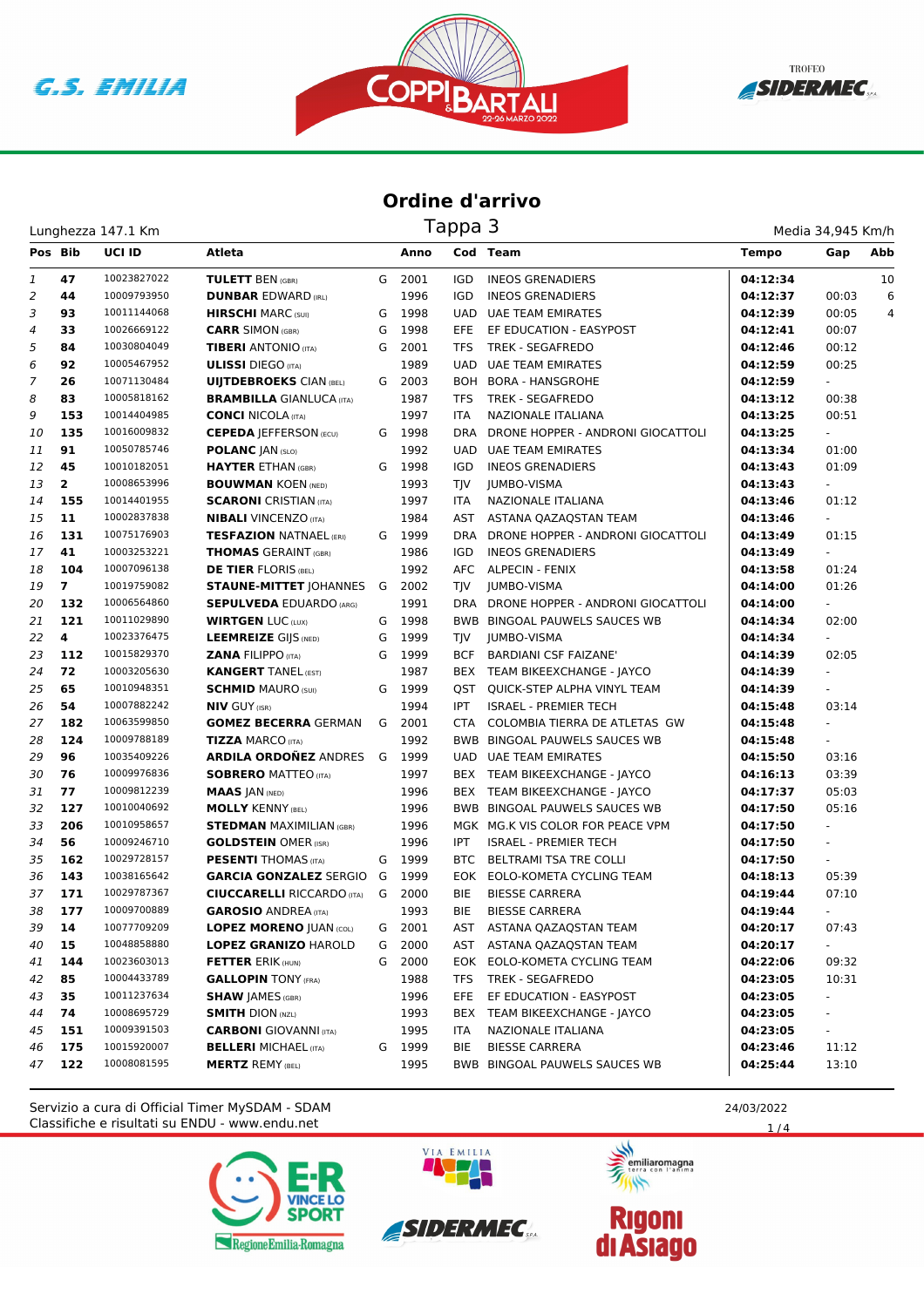





## **Ordine d'arrivo**

| Tappa 3<br>Lunghezza 147.1 Km |                |             |                                      |   |        |            |                                   |              | Media 34,945 Km/h        |     |  |
|-------------------------------|----------------|-------------|--------------------------------------|---|--------|------------|-----------------------------------|--------------|--------------------------|-----|--|
| Pos Bib                       |                | UCI ID      | Atleta                               |   | Anno   |            | Cod Team                          | <b>Tempo</b> | Gap                      | Abb |  |
| 1                             | 47             | 10023827022 | <b>TULETT BEN (GBR)</b>              | G | 2001   | IGD        | <b>INEOS GRENADIERS</b>           | 04:12:34     |                          | 10  |  |
| $\overline{2}$                | 44             | 10009793950 | <b>DUNBAR EDWARD (IRL)</b>           |   | 1996   | <b>IGD</b> | <b>INEOS GRENADIERS</b>           | 04:12:37     | 00:03                    | 6   |  |
| 3                             | 93             | 10011144068 | <b>HIRSCHI MARC (SUI)</b>            | G | 1998   | <b>UAD</b> | <b>UAE TEAM EMIRATES</b>          | 04:12:39     | 00:05                    | 4   |  |
| 4                             | 33             | 10026669122 | <b>CARR SIMON (GBR)</b>              | G | 1998   | EFE.       | EF EDUCATION - EASYPOST           | 04:12:41     | 00:07                    |     |  |
| 5                             | 84             | 10030804049 | <b>TIBERI</b> ANTONIO (ITA)          | G | 2001   | <b>TFS</b> | TREK - SEGAFREDO                  | 04:12:46     | 00:12                    |     |  |
| 6                             | 92             | 10005467952 | <b>ULISSI</b> DIEGO (ITA)            |   | 1989   | UAD        | <b>UAE TEAM EMIRATES</b>          | 04:12:59     | 00:25                    |     |  |
| 7                             | 26             | 10071130484 | <b>UIJTDEBROEKS CIAN (BEL)</b>       | G | 2003   | <b>BOH</b> | <b>BORA - HANSGROHE</b>           | 04:12:59     | $\overline{\phantom{0}}$ |     |  |
| 8                             | 83             | 10005818162 | <b>BRAMBILLA GIANLUCA (ITA)</b>      |   | 1987   | TFS        | TREK - SEGAFREDO                  | 04:13:12     | 00:38                    |     |  |
| 9                             | 153            | 10014404985 | <b>CONCI NICOLA (ITA)</b>            |   | 1997   | <b>ITA</b> | NAZIONALE ITALIANA                | 04:13:25     | 00:51                    |     |  |
| 10                            | 135            | 10016009832 | <b>CEPEDA   EFFERSON (ECU)</b>       | G | 1998   | DRA        | DRONE HOPPER - ANDRONI GIOCATTOLI | 04:13:25     | $\sim$                   |     |  |
| 11                            | 91             | 10050785746 | <b>POLANC JAN (SLO)</b>              |   | 1992   | <b>UAD</b> | UAE TEAM EMIRATES                 | 04:13:34     | 01:00                    |     |  |
| 12                            | 45             | 10010182051 | <b>HAYTER ETHAN (GBR)</b>            | G | 1998   | <b>IGD</b> | <b>INEOS GRENADIERS</b>           | 04:13:43     | 01:09                    |     |  |
| 13                            | $\overline{2}$ | 10008653996 | <b>BOUWMAN KOEN (NED)</b>            |   | 1993   | TJV        | <b>JUMBO-VISMA</b>                | 04:13:43     | ÷.                       |     |  |
| 14                            | 155            | 10014401955 | <b>SCARONI</b> CRISTIAN (ITA)        |   | 1997   | ITA        | NAZIONALE ITALIANA                | 04:13:46     | 01:12                    |     |  |
| 15                            | 11             | 10002837838 | <b>NIBALI</b> VINCENZO (ITA)         |   | 1984   | AST        | ASTANA OAZAOSTAN TEAM             | 04:13:46     | $\blacksquare$           |     |  |
| 16                            | 131            | 10075176903 | <b>TESFAZION NATNAEL (ERI)</b>       |   | G 1999 | <b>DRA</b> | DRONE HOPPER - ANDRONI GIOCATTOLI | 04:13:49     | 01:15                    |     |  |
| 17                            | 41             | 10003253221 | <b>THOMAS GERAINT (GBR)</b>          |   | 1986   | IGD        | <b>INEOS GRENADIERS</b>           | 04:13:49     | $\overline{\phantom{a}}$ |     |  |
| 18                            | 104            | 10007096138 | <b>DE TIER FLORIS (BEL)</b>          |   | 1992   |            | AFC ALPECIN - FENIX               | 04:13:58     | 01:24                    |     |  |
| 19                            | $\overline{7}$ | 10019759082 | <b>STAUNE-MITTET JOHANNES G 2002</b> |   |        | <b>TIV</b> | JUMBO-VISMA                       | 04:14:00     | 01:26                    |     |  |
| 20                            | 132            | 10006564860 | <b>SEPULVEDA EDUARDO (ARG)</b>       |   | 1991   | DRA        | DRONE HOPPER - ANDRONI GIOCATTOLI | 04:14:00     |                          |     |  |
| 21                            | 121            | 10011029890 | <b>WIRTGEN LUC (LUX)</b>             | G | 1998   |            | BWB BINGOAL PAUWELS SAUCES WB     | 04:14:34     | 02:00                    |     |  |
| 22                            | 4              | 10023376475 | <b>LEEMREIZE GIJS (NED)</b>          | G | 1999   | TJV        | <b>JUMBO-VISMA</b>                | 04:14:34     | $\overline{\phantom{a}}$ |     |  |
| 23                            | 112            | 10015829370 | <b>ZANA FILIPPO (ITA)</b>            | G | 1999   | <b>BCF</b> | <b>BARDIANI CSF FAIZANE'</b>      | 04:14:39     | 02:05                    |     |  |
| 24                            | 72             | 10003205630 | <b>KANGERT TANEL (EST)</b>           |   | 1987   |            | BEX TEAM BIKEEXCHANGE - JAYCO     | 04:14:39     | $\omega$                 |     |  |
| 25                            | 65             | 10010948351 | <b>SCHMID MAURO (SUI)</b>            | G | 1999   | QST        | QUICK-STEP ALPHA VINYL TEAM       | 04:14:39     |                          |     |  |
| 26                            | 54             | 10007882242 | <b>NIV GUY (ISR)</b>                 |   | 1994   | IPT.       | <b>ISRAEL - PREMIER TECH</b>      | 04:15:48     | 03:14                    |     |  |
| 27                            | 182            | 10063599850 | <b>GOMEZ BECERRA GERMAN</b>          | G | 2001   | <b>CTA</b> | COLOMBIA TIERRA DE ATLETAS GW     | 04:15:48     | $\overline{\phantom{a}}$ |     |  |
| 28                            | 124            | 10009788189 | <b>TIZZA MARCO (ITA)</b>             |   | 1992   |            | BWB BINGOAL PAUWELS SAUCES WB     | 04:15:48     | ÷.                       |     |  |
| 29                            | 96             | 10035409226 | <b>ARDILA ORDONEZ ANDRES</b>         | G | 1999   |            | UAD UAE TEAM EMIRATES             | 04:15:50     | 03:16                    |     |  |
| 30                            | 76             | 10009976836 | <b>SOBRERO MATTEO (ITA)</b>          |   | 1997   |            | BEX TEAM BIKEEXCHANGE - JAYCO     | 04:16:13     | 03:39                    |     |  |
| 31                            | 77             | 10009812239 | <b>MAAS JAN (NED)</b>                |   | 1996   |            | BEX TEAM BIKEEXCHANGE - JAYCO     | 04:17:37     | 05:03                    |     |  |
| 32                            | 127            | 10010040692 | <b>MOLLY KENNY (BEL)</b>             |   | 1996   |            | BWB BINGOAL PAUWELS SAUCES WB     | 04:17:50     | 05:16                    |     |  |
| 33                            | 206            | 10010958657 | <b>STEDMAN MAXIMILIAN (GBR)</b>      |   | 1996   |            | MGK MG.K VIS COLOR FOR PEACE VPM  | 04:17:50     | $\overline{\phantom{a}}$ |     |  |
| 34                            | 56             | 10009246710 | <b>GOLDSTEIN OMER (ISR)</b>          |   | 1996   | <b>IPT</b> | <b>ISRAEL - PREMIER TECH</b>      | 04:17:50     | $\omega$                 |     |  |
| 35                            | 162            | 10029728157 | <b>PESENTI THOMAS (ITA)</b>          | G | 1999   | <b>BTC</b> | BELTRAMI TSA TRE COLLI            | 04:17:50     | $\overline{\phantom{a}}$ |     |  |
| 36                            | 143            | 10038165642 | <b>GARCIA GONZALEZ SERGIO</b>        | G | 1999   |            | EOK EOLO-KOMETA CYCLING TEAM      | 04:18:13     | 05:39                    |     |  |
| 37                            | 171            | 10029787367 | <b>CIUCCARELLI</b> RICCARDO (ITA)    |   | G 2000 | <b>BIE</b> | <b>BIESSE CARRERA</b>             | 04:19:44     | 07:10                    |     |  |
| 38                            | 177            | 10009700889 | <b>GAROSIO</b> ANDREA (ITA)          |   | 1993   | BIE        | <b>BIESSE CARRERA</b>             | 04:19:44     |                          |     |  |
| 39                            | 14             | 10077709209 | <b>LOPEZ MORENO  UAN (COL)</b>       | G | 2001   |            | AST ASTANA QAZAQSTAN TEAM         | 04:20:17     | 07:43                    |     |  |
| 40                            | 15             | 10048858880 | <b>LOPEZ GRANIZO HAROLD</b>          | G | 2000   | AST        | ASTANA QAZAQSTAN TEAM             | 04:20:17     | $\sim$                   |     |  |
| 41                            | 144            | 10023603013 | <b>FETTER ERIK (HUN)</b>             | G | 2000   |            | EOK EOLO-KOMETA CYCLING TEAM      | 04:22:06     | 09:32                    |     |  |
| 42                            | 85             | 10004433789 | <b>GALLOPIN TONY (FRA)</b>           |   | 1988   | TFS.       | <b>TREK - SEGAFREDO</b>           | 04:23:05     | 10:31                    |     |  |
| 43                            | 35             | 10011237634 | <b>SHAW JAMES (GBR)</b>              |   | 1996   | EFE        | EF EDUCATION - EASYPOST           | 04:23:05     | $\sim$                   |     |  |
| 44                            | 74             | 10008695729 | <b>SMITH DION (NZL)</b>              |   | 1993   |            | BEX TEAM BIKEEXCHANGE - JAYCO     | 04:23:05     | $\blacksquare$           |     |  |
| 45                            | 151            | 10009391503 | <b>CARBONI</b> GIOVANNI (ITA)        |   | 1995   | <b>ITA</b> | NAZIONALE ITALIANA                | 04:23:05     | ÷.                       |     |  |
| 46                            | 175            | 10015920007 | <b>BELLERI MICHAEL (ITA)</b>         |   | G 1999 | BIE        | <b>BIESSE CARRERA</b>             | 04:23:46     | 11:12                    |     |  |
| 47                            | 122            | 10008081595 | <b>MERTZ REMY (BEL)</b>              |   | 1995   |            | BWB BINGOAL PAUWELS SAUCES WB     | 04:25:44     | 13:10                    |     |  |

Classifiche e risultati su ENDU - www.endu.net Servizio a cura di Official Timer MySDAM - SDAM 25 2003/2022 24/03/2022







**Rigoni<br>di Asiago** 



 $1/4$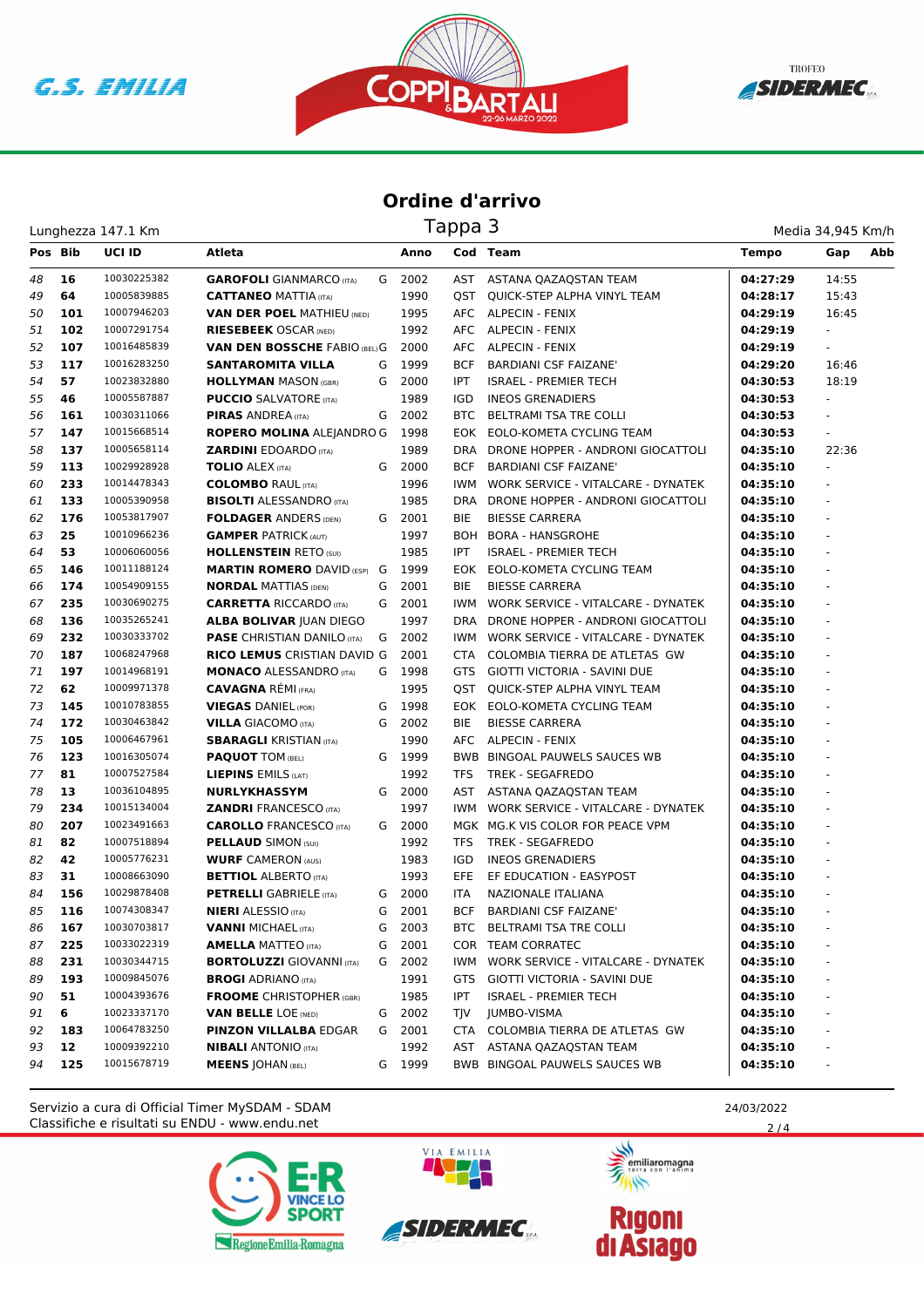





## **Ordine d'arrivo**

Lunghezza 147.1 Km

| Media 34,945 Km/h |  |
|-------------------|--|

| Pos Bib |     | <b>UCI ID</b> | Atleta                               |   | Anno   |            | Cod Team                               | <b>Tempo</b> | Gap                      | Abb |
|---------|-----|---------------|--------------------------------------|---|--------|------------|----------------------------------------|--------------|--------------------------|-----|
| 48      | 16  | 10030225382   | <b>GAROFOLI</b> GIANMARCO (ITA)      |   | G 2002 |            | AST ASTANA QAZAQSTAN TEAM              | 04:27:29     | 14:55                    |     |
| 49      | 64  | 10005839885   | <b>CATTANEO MATTIA (ITA)</b>         |   | 1990   | QST        | QUICK-STEP ALPHA VINYL TEAM            | 04:28:17     | 15:43                    |     |
| 50      | 101 | 10007946203   | <b>VAN DER POEL MATHIEU (NED)</b>    |   | 1995   |            | AFC ALPECIN - FENIX                    | 04:29:19     | 16:45                    |     |
| 51      | 102 | 10007291754   | <b>RIESEBEEK OSCAR (NED)</b>         |   | 1992   |            | AFC ALPECIN - FENIX                    | 04:29:19     | $\sim$                   |     |
| 52      | 107 | 10016485839   | <b>VAN DEN BOSSCHE FABIO (BEL) G</b> |   | 2000   |            | AFC ALPECIN - FENIX                    | 04:29:19     | $\blacksquare$           |     |
| 53      | 117 | 10016283250   | <b>SANTAROMITA VILLA</b>             | G | 1999   | <b>BCF</b> | <b>BARDIANI CSF FAIZANE'</b>           | 04:29:20     | 16:46                    |     |
| 54      | 57  | 10023832880   | <b>HOLLYMAN MASON (GBR)</b>          |   | G 2000 | <b>IPT</b> | <b>ISRAEL - PREMIER TECH</b>           | 04:30:53     | 18:19                    |     |
| 55      | 46  | 10005587887   | <b>PUCCIO</b> SALVATORE (ITA)        |   | 1989   | IGD        | <b>INEOS GRENADIERS</b>                | 04:30:53     | $\overline{\phantom{a}}$ |     |
| 56      | 161 | 10030311066   | <b>PIRAS ANDREA (ITA)</b>            | G | 2002   |            | BTC BELTRAMI TSA TRE COLLI             | 04:30:53     | $\overline{\phantom{a}}$ |     |
| 57      | 147 | 10015668514   | ROPERO MOLINA ALEJANDRO G            |   | 1998   |            | EOK EOLO-KOMETA CYCLING TEAM           | 04:30:53     | ÷.                       |     |
| 58      | 137 | 10005658114   | <b>ZARDINI EDOARDO (ITA)</b>         |   | 1989   |            | DRA DRONE HOPPER - ANDRONI GIOCATTOLI  | 04:35:10     | 22:36                    |     |
| 59      | 113 | 10029928928   | <b>TOLIO ALEX (ITA)</b>              | G | 2000   | <b>BCF</b> | <b>BARDIANI CSF FAIZANE'</b>           | 04:35:10     | ÷.                       |     |
| 60      | 233 | 10014478343   | <b>COLOMBO RAUL (ITA)</b>            |   | 1996   | <b>IWM</b> | WORK SERVICE - VITALCARE - DYNATEK     | 04:35:10     |                          |     |
| 61      | 133 | 10005390958   | <b>BISOLTI ALESSANDRO (ITA)</b>      |   | 1985   | DRA        | DRONE HOPPER - ANDRONI GIOCATTOLI      | 04:35:10     | ÷,                       |     |
| 62      | 176 | 10053817907   | <b>FOLDAGER ANDERS (DEN)</b>         |   | G 2001 | BIE        | <b>BIESSE CARRERA</b>                  | 04:35:10     |                          |     |
| 63      | 25  | 10010966236   | <b>GAMPER PATRICK (AUT)</b>          |   | 1997   |            | <b>BOH BORA - HANSGROHE</b>            | 04:35:10     | $\sim$                   |     |
| 64      | 53  | 10006060056   | <b>HOLLENSTEIN RETO (SUI)</b>        |   | 1985   | <b>IPT</b> | <b>ISRAEL - PREMIER TECH</b>           | 04:35:10     | ä,                       |     |
| 65      | 146 | 10011188124   | <b>MARTIN ROMERO DAVID (ESP) G</b>   |   | 1999   |            | EOK EOLO-KOMETA CYCLING TEAM           | 04:35:10     | $\omega$                 |     |
| 66      | 174 | 10054909155   | <b>NORDAL MATTIAS (DEN)</b>          | G | 2001   | <b>BIE</b> | <b>BIESSE CARRERA</b>                  | 04:35:10     | $\overline{\phantom{a}}$ |     |
| 67      | 235 | 10030690275   | <b>CARRETTA RICCARDO</b> (ITA)       | G | 2001   | IWM        | WORK SERVICE - VITALCARE - DYNATEK     | 04:35:10     | $\overline{\phantom{a}}$ |     |
| 68      | 136 | 10035265241   | <b>ALBA BOLIVAR JUAN DIEGO</b>       |   | 1997   |            | DRA DRONE HOPPER - ANDRONI GIOCATTOLI  | 04:35:10     |                          |     |
| 69      | 232 | 10030333702   | <b>PASE CHRISTIAN DANILO (ITA)</b>   | G | 2002   |            | IWM WORK SERVICE - VITALCARE - DYNATEK | 04:35:10     | $\sim$                   |     |
| 70      | 187 | 10068247968   | <b>RICO LEMUS CRISTIAN DAVID G</b>   |   | 2001   |            | CTA COLOMBIA TIERRA DE ATLETAS GW      | 04:35:10     |                          |     |
| 71      | 197 | 10014968191   | <b>MONACO ALESSANDRO (ITA)</b>       |   | G 1998 |            | GTS GIOTTI VICTORIA - SAVINI DUE       | 04:35:10     | ÷,                       |     |
| 72      | 62  | 10009971378   | <b>CAVAGNA RÉMI (FRA)</b>            |   | 1995   | QST        | QUICK-STEP ALPHA VINYL TEAM            | 04:35:10     | ÷,                       |     |
| 73      | 145 | 10010783855   | <b>VIEGAS DANIEL (POR)</b>           | G | 1998   |            | EOK EOLO-KOMETA CYCLING TEAM           | 04:35:10     |                          |     |
| 74      | 172 | 10030463842   | <b>VILLA GIACOMO (ITA)</b>           | G | 2002   | BIE        | <b>BIESSE CARRERA</b>                  | 04:35:10     |                          |     |
| 75      | 105 | 10006467961   | <b>SBARAGLI KRISTIAN (ITA)</b>       |   | 1990   |            | AFC ALPECIN - FENIX                    | 04:35:10     |                          |     |
| 76      | 123 | 10016305074   | <b>PAQUOT TOM (BEL)</b>              | G | 1999   |            | BWB BINGOAL PAUWELS SAUCES WB          | 04:35:10     | ä,                       |     |
| 77      | 81  | 10007527584   | LIEPINS EMILS (LAT)                  |   | 1992   | TFS        | TREK - SEGAFREDO                       | 04:35:10     | $\omega$                 |     |
| 78      | 13  | 10036104895   | <b>NURLYKHASSYM</b>                  |   | G 2000 | AST        | ASTANA QAZAQSTAN TEAM                  | 04:35:10     | $\overline{\phantom{a}}$ |     |
| 79      | 234 | 10015134004   | <b>ZANDRI FRANCESCO (ITA)</b>        |   | 1997   |            | IWM WORK SERVICE - VITALCARE - DYNATEK | 04:35:10     | $\overline{\phantom{a}}$ |     |
| 80      | 207 | 10023491663   | <b>CAROLLO</b> FRANCESCO (ITA)       |   | G 2000 |            | MGK MG.K VIS COLOR FOR PEACE VPM       | 04:35:10     |                          |     |
| 81      | 82  | 10007518894   | <b>PELLAUD SIMON (SUI)</b>           |   | 1992   | <b>TFS</b> | TREK - SEGAFREDO                       | 04:35:10     | $\sim$                   |     |
| 82      | 42  | 10005776231   | <b>WURF CAMERON (AUS)</b>            |   | 1983   | IGD        | <b>INEOS GRENADIERS</b>                | 04:35:10     |                          |     |
| 83      | 31  | 10008663090   | <b>BETTIOL ALBERTO (ITA)</b>         |   | 1993   | EFE.       | EF EDUCATION - EASYPOST                | 04:35:10     |                          |     |
| 84      | 156 | 10029878408   | <b>PETRELLI</b> GABRIELE (ITA)       |   | G 2000 | <b>ITA</b> | NAZIONALE ITALIANA                     | 04:35:10     |                          |     |
| 85      | 116 | 10074308347   | <b>NIERI</b> ALESSIO (ITA)           | G | 2001   | <b>BCF</b> | <b>BARDIANI CSF FAIZANE'</b>           | 04:35:10     |                          |     |
| 86      | 167 | 10030703817   | <b>VANNI MICHAEL (ITA)</b>           | G | 2003   |            | BTC BELTRAMI TSA TRE COLLI             | 04:35:10     |                          |     |
| 87      | 225 | 10033022319   | <b>AMELLA MATTEO</b> (ITA)           | G | 2001   |            | COR TEAM CORRATEC                      | 04:35:10     |                          |     |
| 88      | 231 | 10030344715   | <b>BORTOLUZZI GIOVANNI (ITA)</b>     | G | 2002   | IWM        | WORK SERVICE - VITALCARE - DYNATEK     | 04:35:10     |                          |     |
| 89      | 193 | 10009845076   | <b>BROGI</b> ADRIANO (ITA)           |   | 1991   | GTS        | GIOTTI VICTORIA - SAVINI DUE           | 04:35:10     |                          |     |
| 90      | 51  | 10004393676   | <b>FROOME</b> CHRISTOPHER (GBR)      |   | 1985   | IPT        | <b>ISRAEL - PREMIER TECH</b>           | 04:35:10     |                          |     |
| 91      | 6   | 10023337170   | <b>VAN BELLE LOE (NED)</b>           |   | G 2002 | TJV        | JUMBO-VISMA                            | 04:35:10     |                          |     |
| 92      | 183 | 10064783250   | <b>PINZON VILLALBA EDGAR</b>         | G | 2001   |            | CTA COLOMBIA TIERRA DE ATLETAS GW      | 04:35:10     |                          |     |
| 93      | 12  | 10009392210   | <b>NIBALI</b> ANTONIO (ITA)          |   | 1992   | AST        | ASTANA QAZAQSTAN TEAM                  | 04:35:10     |                          |     |
| 94      | 125 | 10015678719   | <b>MEENS JOHAN (BEL)</b>             | G | 1999   |            | BWB BINGOAL PAUWELS SAUCES WB          | 04:35:10     |                          |     |

Classifiche e risultati su ENDU - www.endu.net Servizio a cura di Official Timer MySDAM - SDAM 24/03/2022





*SIDERMEC* 



 $2/4$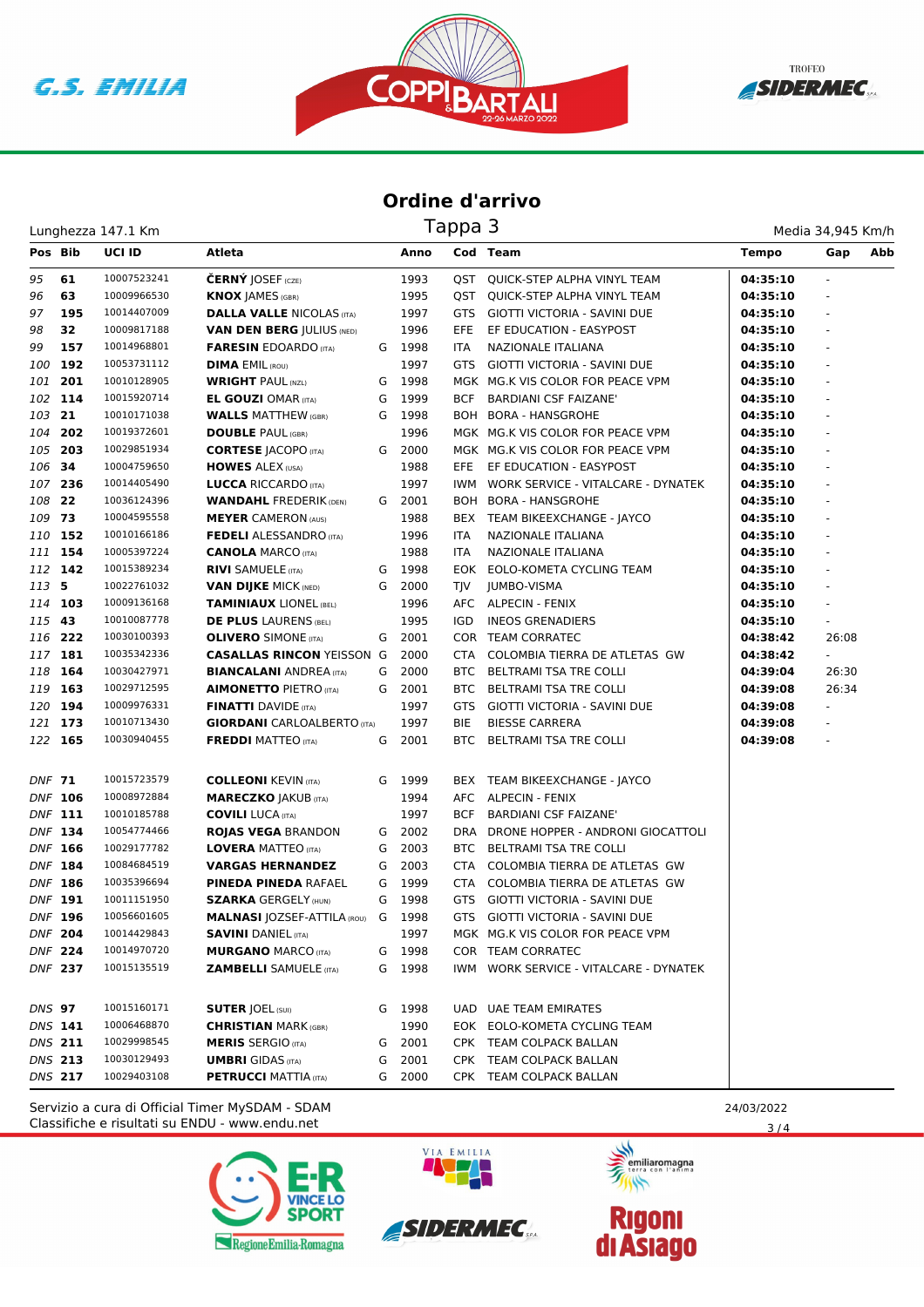





## **Ordine d'arrivo**

Lunghezza 147.1 Km

| Media 34,945 Km/h |  |
|-------------------|--|

| Pos Bib        |                | <b>UCI ID</b> | Atleta                               |   | Anno   |            | Cod Team                               | <b>Tempo</b> | Abb<br>Gap               |
|----------------|----------------|---------------|--------------------------------------|---|--------|------------|----------------------------------------|--------------|--------------------------|
| 95             | 61             | 10007523241   | <b>ČERNÝ JOSEF</b> (CZE)             |   | 1993   |            | QST QUICK-STEP ALPHA VINYL TEAM        | 04:35:10     |                          |
| 96             | 63             | 10009966530   | <b>KNOX JAMES (GBR)</b>              |   | 1995   |            | <b>QST QUICK-STEP ALPHA VINYL TEAM</b> | 04:35:10     |                          |
| 97             | 195            | 10014407009   | <b>DALLA VALLE NICOLAS (ITA)</b>     |   | 1997   | GTS.       | GIOTTI VICTORIA - SAVINI DUE           | 04:35:10     |                          |
| 98             | 32             | 10009817188   | <b>VAN DEN BERG JULIUS (NED)</b>     |   | 1996   | <b>EFE</b> | EF EDUCATION - EASYPOST                | 04:35:10     |                          |
| 99             | 157            | 10014968801   | <b>FARESIN EDOARDO (ITA)</b>         |   | G 1998 | ITA        | NAZIONALE ITALIANA                     | 04:35:10     |                          |
| 100            | 192            | 10053731112   | <b>DIMA EMIL (ROU)</b>               |   | 1997   | GTS.       | GIOTTI VICTORIA - SAVINI DUE           | 04:35:10     |                          |
| 101            | 201            | 10010128905   | <b>WRIGHT PAUL (NZL)</b>             | G | 1998   |            | MGK MG.K VIS COLOR FOR PEACE VPM       | 04:35:10     |                          |
|                | 102 114        | 10015920714   | <b>EL GOUZI OMAR (ITA)</b>           | G | 1999   | BCF        | <b>BARDIANI CSF FAIZANE'</b>           | 04:35:10     |                          |
| 103 21         |                | 10010171038   | <b>WALLS MATTHEW (GBR)</b>           | G | 1998   |            | BOH BORA - HANSGROHE                   | 04:35:10     |                          |
| 104            | 202            | 10019372601   | <b>DOUBLE PAUL (GBR)</b>             |   | 1996   |            | MGK MG.K VIS COLOR FOR PEACE VPM       | 04:35:10     |                          |
| 105 203        |                | 10029851934   | <b>CORTESE JACOPO (ITA)</b>          |   | G 2000 |            | MGK MG.K VIS COLOR FOR PEACE VPM       | 04:35:10     |                          |
| 106 34         |                | 10004759650   | <b>HOWES ALEX (USA)</b>              |   | 1988   | EFE.       | EF EDUCATION - EASYPOST                | 04:35:10     |                          |
| 107 236        |                | 10014405490   | <b>LUCCA RICCARDO</b> (ITA)          |   | 1997   |            | IWM WORK SERVICE - VITALCARE - DYNATEK | 04:35:10     |                          |
| 108 22         |                | 10036124396   | <b>WANDAHL FREDERIK (DEN)</b>        |   | G 2001 |            | BOH BORA - HANSGROHE                   | 04:35:10     |                          |
| 109 73         |                | 10004595558   | <b>MEYER CAMERON (AUS)</b>           |   | 1988   |            | BEX TEAM BIKEEXCHANGE - JAYCO          | 04:35:10     |                          |
|                | 110 152        | 10010166186   | <b>FEDELI ALESSANDRO (ITA)</b>       |   | 1996   | ITA        | NAZIONALE ITALIANA                     | 04:35:10     |                          |
|                | 111 154        | 10005397224   | <b>CANOLA MARCO (ITA)</b>            |   | 1988   | ITA        | NAZIONALE ITALIANA                     | 04:35:10     |                          |
|                | 112 142        | 10015389234   | <b>RIVI SAMUELE (ITA)</b>            | G | 1998   |            | EOK EOLO-KOMETA CYCLING TEAM           | 04:35:10     |                          |
| 113 5          |                | 10022761032   | <b>VAN DIJKE MICK (NED)</b>          | G | 2000   | TJV.       | JUMBO-VISMA                            | 04:35:10     |                          |
| 114 103        |                | 10009136168   | <b>TAMINIAUX LIONEL (BEL)</b>        |   | 1996   |            | AFC ALPECIN - FENIX                    | 04:35:10     |                          |
| 115 43         |                | 10010087778   | <b>DE PLUS LAURENS (BEL)</b>         |   | 1995   | IGD.       | <b>INEOS GRENADIERS</b>                | 04:35:10     |                          |
| 116 222        |                | 10030100393   | <b>OLIVERO</b> SIMONE (ITA)          | G | 2001   |            | COR TEAM CORRATEC                      | 04:38:42     | 26:08                    |
|                | 117 181        | 10035342336   | <b>CASALLAS RINCON YEISSON G</b>     |   | 2000   |            | CTA COLOMBIA TIERRA DE ATLETAS GW      | 04:38:42     | $\blacksquare$           |
|                | 118 164        | 10030427971   | <b>BIANCALANI ANDREA (ITA)</b>       | G | 2000   | BTC.       | BELTRAMI TSA TRE COLLI                 | 04:39:04     | 26:30                    |
| 119 163        |                | 10029712595   | <b>AIMONETTO PIETRO (ITA)</b>        | G | 2001   | BTC        | BELTRAMI TSA TRE COLLI                 | 04:39:08     | 26:34                    |
|                | 120 194        | 10009976331   | <b>FINATTI DAVIDE (ITA)</b>          |   | 1997   |            | GTS GIOTTI VICTORIA - SAVINI DUE       | 04:39:08     | $\omega$                 |
|                | 121 173        | 10010713430   | <b>GIORDANI</b> CARLOALBERTO (ITA)   |   | 1997   | BIE        | <b>BIESSE CARRERA</b>                  | 04:39:08     | $\overline{\phantom{a}}$ |
|                | 122 165        | 10030940455   | <b>FREDDI MATTEO</b> (ITA)           | G | 2001   | BTC        | BELTRAMI TSA TRE COLLI                 | 04:39:08     | ä,                       |
| DNF 71         |                | 10015723579   | <b>COLLEONI KEVIN (ITA)</b>          | G | 1999   |            | BEX TEAM BIKEEXCHANGE - JAYCO          |              |                          |
| <b>DNF 106</b> |                | 10008972884   | <b>MARECZKO JAKUB (ITA)</b>          |   | 1994   |            | AFC ALPECIN - FENIX                    |              |                          |
|                | <b>DNF 111</b> | 10010185788   | <b>COVILI LUCA (ITA)</b>             |   | 1997   | <b>BCF</b> | <b>BARDIANI CSF FAIZANE'</b>           |              |                          |
|                | DNF 134        | 10054774466   | <b>ROJAS VEGA BRANDON</b>            |   | G 2002 |            | DRA DRONE HOPPER - ANDRONI GIOCATTOLI  |              |                          |
|                | DNF 166        | 10029177782   | <b>LOVERA MATTEO (ITA)</b>           | G | 2003   | BTC.       | <b>BELTRAMI TSA TRE COLLI</b>          |              |                          |
|                | <b>DNF 184</b> | 10084684519   | <b>VARGAS HERNANDEZ</b>              | G | 2003   | CTA        | COLOMBIA TIERRA DE ATLETAS GW          |              |                          |
|                | DNF 186        | 10035396694   | <b>PINEDA PINEDA RAFAEL</b>          | G | 1999   |            | CTA COLOMBIA TIERRA DE ATLETAS GW      |              |                          |
|                | <b>DNF 191</b> | 10011151950   | <b>SZARKA GERGELY (HUN)</b>          | G | 1998   |            | GTS GIOTTI VICTORIA - SAVINI DUE       |              |                          |
|                | <b>DNF 196</b> | 10056601605   | <b>MALNASI JOZSEF-ATTILA (ROU)</b> G |   | 1998   |            | GTS GIOTTI VICTORIA - SAVINI DUE       |              |                          |
|                | <b>DNF 204</b> | 10014429843   | <b>SAVINI</b> DANIEL (ITA)           |   | 1997   |            | MGK MG.K VIS COLOR FOR PEACE VPM       |              |                          |
|                | <b>DNF 224</b> | 10014970720   | <b>MURGANO MARCO (ITA)</b>           | G | 1998   |            | COR TEAM CORRATEC                      |              |                          |
|                | <b>DNF 237</b> | 10015135519   | <b>ZAMBELLI</b> SAMUELE (ITA)        |   | G 1998 |            | IWM WORK SERVICE - VITALCARE - DYNATEK |              |                          |
| DNS 97         |                | 10015160171   | <b>SUTER JOEL (SUI)</b>              | G | 1998   |            | UAD UAE TEAM EMIRATES                  |              |                          |
|                | DNS 141        | 10006468870   | <b>CHRISTIAN MARK (GBR)</b>          |   | 1990   |            | EOK EOLO-KOMETA CYCLING TEAM           |              |                          |
|                | DNS 211        | 10029998545   | <b>MERIS</b> SERGIO (ITA)            | G | 2001   |            | CPK TEAM COLPACK BALLAN                |              |                          |
|                | DNS 213        | 10030129493   | <b>UMBRI</b> GIDAS (ITA)             | G | 2001   |            | CPK TEAM COLPACK BALLAN                |              |                          |
|                | <b>DNS 217</b> | 10029403108   | <b>PETRUCCI MATTIA (ITA)</b>         |   | G 2000 |            | CPK TEAM COLPACK BALLAN                |              |                          |
|                |                |               |                                      |   |        |            |                                        |              |                          |

Classifiche e risultati su ENDU - www.endu.net Servizio a cura di Official Timer MySDAM - SDAM 24/03/2022





*SIDERMEC* 





 $3/4$